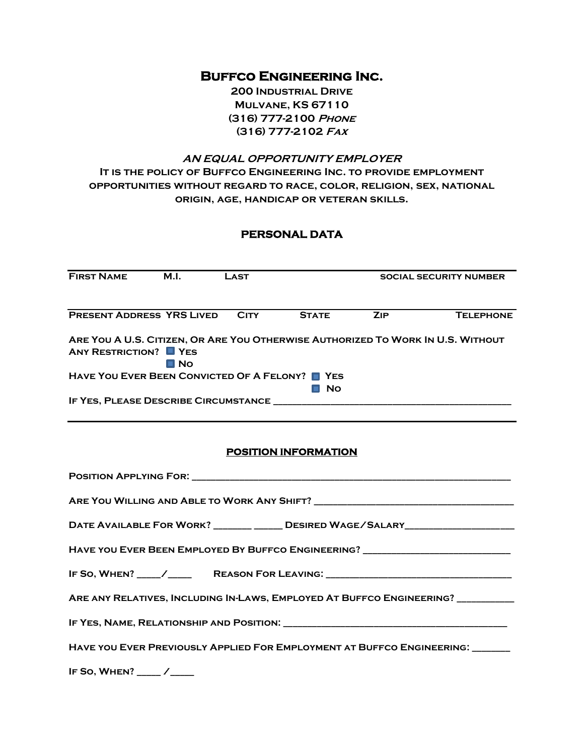# **Buffco Engineering Inc.**

**200 Industrial Drive Mulvane, KS 67110 (316) 777-2100 Phone (316) 777-2102 Fax**

# **AN EQUAL OPPORTUNITY EMPLOYER It is the policy of Buffco Engineering Inc. to provide employment opportunities without regard to race, color, religion, sex, national origin, age, handicap or veteran skills.**

# **PERSONAL DATA**

| <b>FIRST NAME</b>                                                                                               | M.I.        | <b>LAST</b> |                  | <b>SOCIAL SECURITY NUMBER</b> |                  |
|-----------------------------------------------------------------------------------------------------------------|-------------|-------------|------------------|-------------------------------|------------------|
|                                                                                                                 |             |             |                  |                               |                  |
| <b>PRESENT ADDRESS YRS LIVED</b>                                                                                |             | <b>CITY</b> | <b>STATE</b>     | <b>ZIP</b>                    | <b>TELEPHONE</b> |
| ARE YOU A U.S. CITIZEN, OR ARE YOU OTHERWISE AUTHORIZED TO WORK IN U.S. WITHOUT<br><b>ANY RESTRICTION?</b> PYES | <b>□ No</b> |             |                  |                               |                  |
| HAVE YOU EVER BEEN CONVICTED OF A FELONY?                                                                       |             |             | YES<br><b>No</b> |                               |                  |
| IF YES, PLEASE DESCRIBE CIRCUMSTANCE                                                                            |             |             |                  |                               |                  |

### **POSITION INFORMATION**

| DATE AVAILABLE FOR WORK? ________ ______ DESIRED WAGE/SALARY____________________ |  |  |  |  |
|----------------------------------------------------------------------------------|--|--|--|--|
| HAVE YOU EVER BEEN EMPLOYED BY BUFFCO ENGINEERING? _____________________________ |  |  |  |  |
|                                                                                  |  |  |  |  |
| ARE ANY RELATIVES, INCLUDING IN-LAWS, EMPLOYED AT BUFFCO ENGINEERING? __________ |  |  |  |  |
|                                                                                  |  |  |  |  |
| HAVE YOU EVER PREVIOUSLY APPLIED FOR EMPLOYMENT AT BUFFCO ENGINEERING:           |  |  |  |  |
| IF SO, WHEN? $\sqrt{ }$                                                          |  |  |  |  |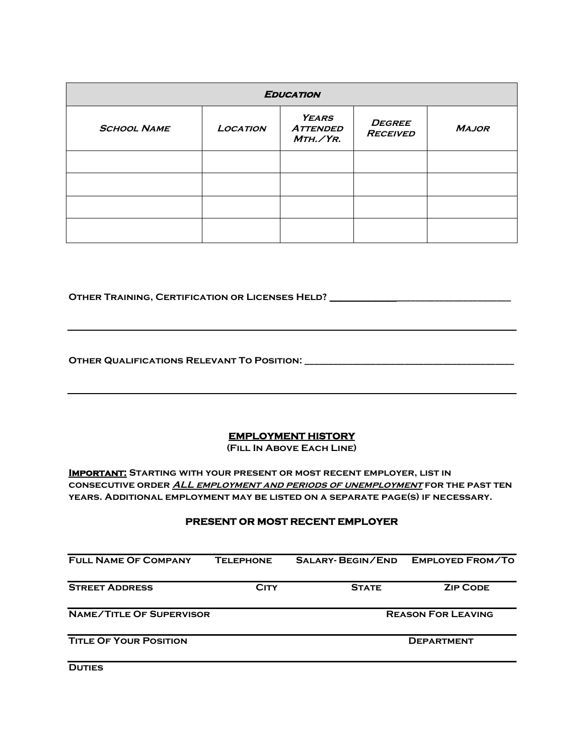| <b>EDUCATION</b>   |                 |                                             |                                  |              |
|--------------------|-----------------|---------------------------------------------|----------------------------------|--------------|
| <b>SCHOOL NAME</b> | <b>LOCATION</b> | <b>YEARS</b><br><b>ATTENDED</b><br>MTH./YR. | <b>DEGREE</b><br><b>RECEIVED</b> | <b>MAJOR</b> |
|                    |                 |                                             |                                  |              |
|                    |                 |                                             |                                  |              |
|                    |                 |                                             |                                  |              |
|                    |                 |                                             |                                  |              |

**Other Training, Certification or Licenses Held? \_\_\_\_\_\_\_\_\_\_\_\_\_\_\_\_\_\_\_\_\_\_\_\_\_\_\_\_\_\_\_\_\_\_\_\_\_\_**

**Other Qualifications Relevant To Position: \_\_\_\_\_\_\_\_\_\_\_\_\_\_\_\_\_\_\_\_\_\_\_\_\_\_\_\_\_\_\_\_\_\_\_\_\_\_\_\_\_\_\_\_**

## **EMPLOYMENT HISTORY**

**(Fill In Above Each Line)** 

**Important: Starting with your present or most recent employer, list in consecutive order ALL employment and periods of unemployment for the past ten years. Additional employment may be listed on a separate page(s) if necessary.** 

#### **PRESENT OR MOST RECENT EMPLOYER**

| <b>FULL NAME OF COMPANY</b>     | <b>TELEPHONE</b> | <b>SALARY-BEGIN/END</b> | <b>EMPLOYED FROM/TO</b>   |
|---------------------------------|------------------|-------------------------|---------------------------|
| <b>STREET ADDRESS</b>           | <b>CITY</b>      | <b>STATE</b>            | <b>ZIP CODE</b>           |
| <b>NAME/TITLE OF SUPERVISOR</b> |                  |                         | <b>REASON FOR LEAVING</b> |
| <b>TITLE OF YOUR POSITION</b>   |                  |                         | <b>DEPARTMENT</b>         |

**DUTIES**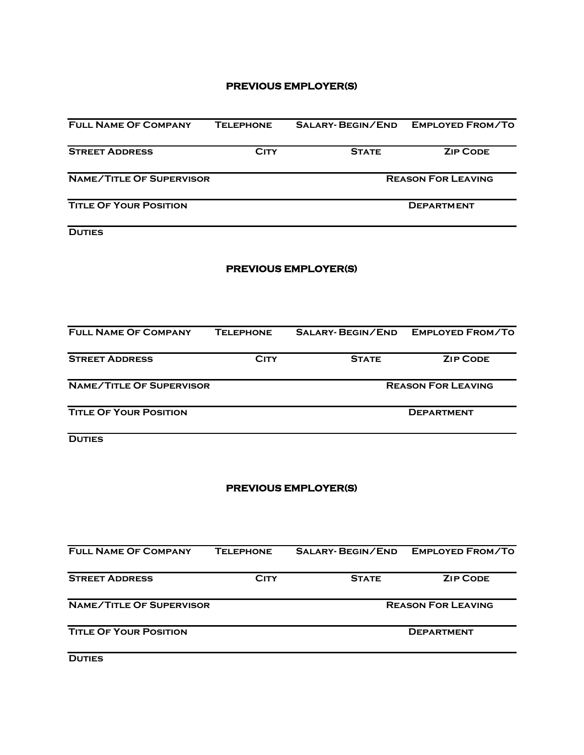### **PREVIOUS EMPLOYER(S)**

| <b>FULL NAME OF COMPANY</b>     | <b>TELEPHONE</b> |                             | SALARY- BEGIN/END EMPLOYED FROM/TO |  |  |
|---------------------------------|------------------|-----------------------------|------------------------------------|--|--|
| <b>STREET ADDRESS</b>           | <b>CITY</b>      | <b>STATE</b>                | <b>ZIP CODE</b>                    |  |  |
| <b>NAME/TITLE OF SUPERVISOR</b> |                  |                             | <b>REASON FOR LEAVING</b>          |  |  |
| <b>TITLE OF YOUR POSITION</b>   |                  |                             | <b>DEPARTMENT</b>                  |  |  |
| <b>DUTIES</b>                   |                  |                             |                                    |  |  |
|                                 |                  | <b>PREVIOUS EMPLOYER(S)</b> |                                    |  |  |
| <b>FULL NAME OF COMPANY</b>     | <b>TELEPHONE</b> | <b>SALARY- BEGIN/END</b>    | <b>EMPLOYED FROM/TO</b>            |  |  |
| <b>STREET ADDRESS</b>           | <b>CITY</b>      | <b>STATE</b>                | <b>ZIP CODE</b>                    |  |  |
| <b>NAME/TITLE OF SUPERVISOR</b> |                  |                             | <b>REASON FOR LEAVING</b>          |  |  |
| <b>TITLE OF YOUR POSITION</b>   |                  |                             | <b>DEPARTMENT</b>                  |  |  |
| <b>DUTIES</b>                   |                  |                             |                                    |  |  |
|                                 |                  | <b>PREVIOUS EMPLOYER(S)</b> |                                    |  |  |
| <b>FULL NAME OF COMPANY</b>     | <b>TELEPHONE</b> |                             | SALARY- BEGIN/END EMPLOYED FROM/TO |  |  |
| <b>STREET ADDRESS</b>           | <b>CITY</b>      | <b>STATE</b>                | <b>ZIP CODE</b>                    |  |  |
| <b>NAME/TITLE OF SUPERVISOR</b> |                  |                             | <b>REASON FOR LEAVING</b>          |  |  |
| <b>TITLE OF YOUR POSITION</b>   |                  |                             | <b>DEPARTMENT</b>                  |  |  |
| <b>DUTIES</b>                   |                  |                             |                                    |  |  |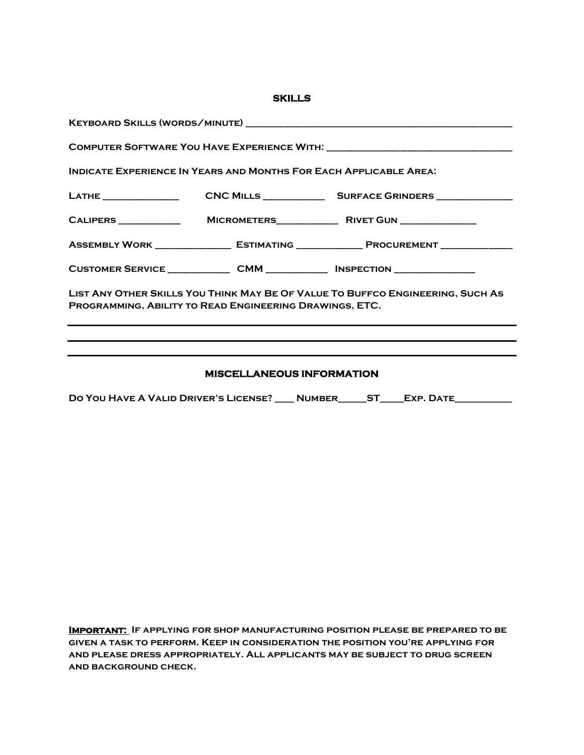| v<br>___<br>____<br>v |  |
|-----------------------|--|
|-----------------------|--|

| <b>INDICATE EXPERIENCE IN YEARS AND MONTHS FOR EACH APPLICABLE AREA:</b>                                                                                                                               |  |                                                                                       |  |  |  |
|--------------------------------------------------------------------------------------------------------------------------------------------------------------------------------------------------------|--|---------------------------------------------------------------------------------------|--|--|--|
|                                                                                                                                                                                                        |  |                                                                                       |  |  |  |
|                                                                                                                                                                                                        |  |                                                                                       |  |  |  |
|                                                                                                                                                                                                        |  | ASSEMBLY WORK __________________ ESTIMATING _______________ PROCUREMENT _____________ |  |  |  |
|                                                                                                                                                                                                        |  | CUSTOMER SERVICE _______________ CMM _______________ INSPECTION _______________       |  |  |  |
| LIST ANY OTHER SKILLS YOU THINK MAY BE OF VALUE TO BUFFCO ENGINEERING, SUCH AS<br>PROGRAMMING, ABILITY TO READ ENGINEERING DRAWINGS, ETC.<br><u> 1989 - John Stone, Amerikaansk politiker (* 1908)</u> |  |                                                                                       |  |  |  |
|                                                                                                                                                                                                        |  |                                                                                       |  |  |  |
|                                                                                                                                                                                                        |  |                                                                                       |  |  |  |

## **MISCELLANEOUS INFORMATION**

**Do You Have A Valid Driver's License? \_\_\_\_ Number\_\_\_\_\_\_ST\_\_\_\_\_Exp. Date\_\_\_\_\_\_\_\_\_\_\_\_**

**Important: If applying for shop manufacturing position please be prepared to be given a task to perform. Keep in consideration the position you're applying for and please dress appropriately. All applicants may be subject to drug screen and background check.**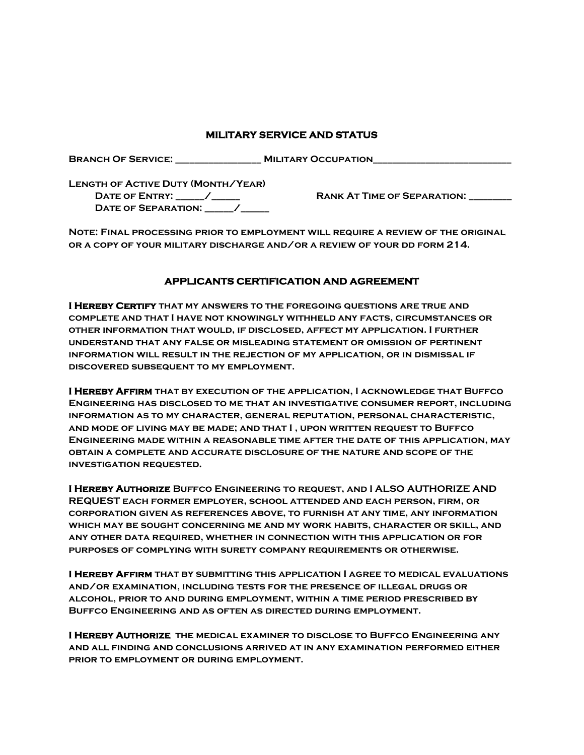#### **MILITARY SERVICE AND STATUS**

**Branch Of Service: \_\_\_\_\_\_\_\_\_\_\_\_\_\_\_\_\_\_ Military Occupation\_\_\_\_\_\_\_\_\_\_\_\_\_\_\_\_\_\_\_\_\_\_\_\_\_\_\_\_\_**

**Length of Active Duty (Month/Year) DATE OF ENTRY:**   $\blacksquare$  / **RANK AT TIME OF SEPARATION:** DATE OF **SEPARATION:** /

**Note: Final processing prior to employment will require a review of the original or a copy of your military discharge and/or a review of your dd form 214.** 

#### **APPLICANTS CERTIFICATION AND AGREEMENT**

**I Hereby Certify that my answers to the foregoing questions are true and complete and that I have not knowingly withheld any facts, circumstances or other information that would, if disclosed, affect my application. I further understand that any false or misleading statement or omission of pertinent information will result in the rejection of my application, or in dismissal if discovered subsequent to my employment.** 

**I Hereby Affirm that by execution of the application, I acknowledge that Buffco Engineering has disclosed to me that an investigative consumer report, including information as to my character, general reputation, personal characteristic, and mode of living may be made; and that I , upon written request to Buffco Engineering made within a reasonable time after the date of this application, may obtain a complete and accurate disclosure of the nature and scope of the investigation requested.** 

**I Hereby Authorize Buffco Engineering to request, and I ALSO AUTHORIZE AND REQUEST each former employer, school attended and each person, firm, or corporation given as references above, to furnish at any time, any information which may be sought concerning me and my work habits, character or skill, and any other data required, whether in connection with this application or for purposes of complying with surety company requirements or otherwise.** 

**I Hereby Affirm that by submitting this application I agree to medical evaluations and/or examination, including tests for the presence of illegal drugs or alcohol, prior to and during employment, within a time period prescribed by Buffco Engineering and as often as directed during employment.** 

**I Hereby Authorize the medical examiner to disclose to Buffco Engineering any and all finding and conclusions arrived at in any examination performed either prior to employment or during employment.**